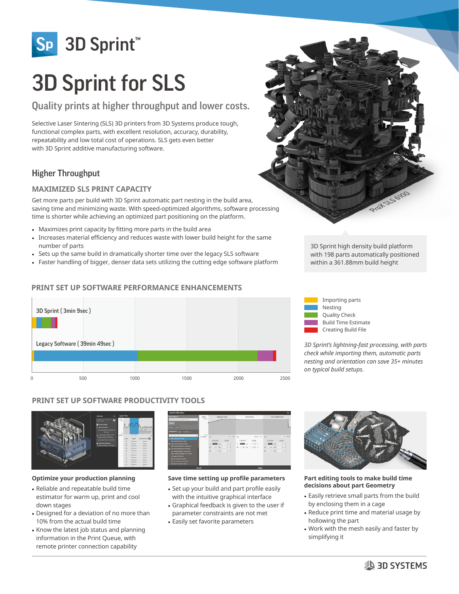

# 3D Sprint for SLS

# Quality prints at higher throughput and lower costs.

Selective Laser Sintering (SLS) 3D printers from 3D Systems produce tough, functional complex parts, with excellent resolution, accuracy, durability, repeatability and low total cost of operations. SLS gets even better with 3D Sprint additive manufacturing software.

## Higher Throughput

## **MAXIMIZED SLS PRINT CAPACITY**

Get more parts per build with 3D Sprint automatic part nesting in the build area, saving time and minimizing waste. With speed-optimized algorithms, software processing time is shorter while achieving an optimized part positioning on the platform.

- Maximizes print capacity by fitting more parts in the build area
- Increases material efficiency and reduces waste with lower build height for the same number of parts
- Sets up the same build in dramatically shorter time over the legacy SLS software
- Faster handling of bigger, denser data sets utilizing the cutting edge software platform

## **PRINT SET UP SOFTWARE PERFORMANCE ENHANCEMENTS**







*3D Sprint's lightning-fast processing, with parts check while importing them, automatic parts nesting and orientation can save 35+ minutes on typical build setups.*

## **PRINT SET UP SOFTWARE PRODUCTIVITY TOOLS**



#### **Optimize your production planning**

- Reliable and repeatable build time estimator for warm up, print and cool down stages
- Designed for a deviation of no more than 10% from the actual build time
- Know the latest job status and planning information in the Print Queue, with remote printer connection capability



#### **Save time setting up profile parameters**

- Set up your build and part profile easily with the intuitive graphical interface
- Graphical feedback is given to the user if parameter constraints are not met
- Easily set favorite parameters



#### **Part editing tools to make build time decisions about part Geometry**

- Easily retrieve small parts from the build by enclosing them in a cage
- Reduce print time and material usage by hollowing the part
- Work with the mesh easily and faster by simplifying it